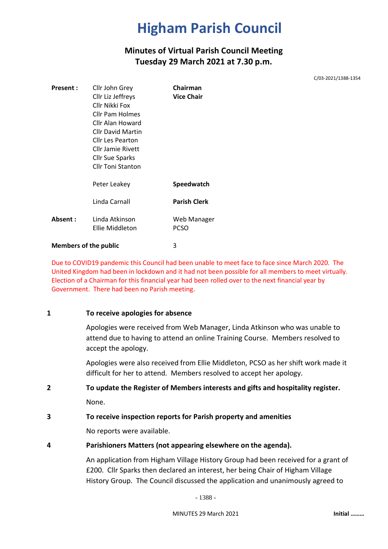### **Minutes of Virtual Parish Council Meeting Tuesday 29 March 2021 at 7.30 p.m.**

C/03-2021/1388-1354

| Present:                     | Cllr John Grey                    | Chairman                   |
|------------------------------|-----------------------------------|----------------------------|
|                              | Cllr Liz Jeffreys                 | <b>Vice Chair</b>          |
|                              | Cllr Nikki Fox                    |                            |
|                              | <b>Cllr Pam Holmes</b>            |                            |
|                              | Cllr Alan Howard                  |                            |
|                              | <b>Cllr David Martin</b>          |                            |
|                              | Cllr Les Pearton                  |                            |
|                              | Cllr Jamie Rivett                 |                            |
|                              | Cllr Sue Sparks                   |                            |
|                              | <b>Cllr Toni Stanton</b>          |                            |
|                              | Peter Leakey                      | Speedwatch                 |
|                              | Linda Carnall                     | <b>Parish Clerk</b>        |
| Absent:                      | Linda Atkinson<br>Ellie Middleton | Web Manager<br><b>PCSO</b> |
| <b>Members of the public</b> |                                   | 3                          |

Due to COVID19 pandemic this Council had been unable to meet face to face since March 2020. The United Kingdom had been in lockdown and it had not been possible for all members to meet virtually. Election of a Chairman for this financial year had been rolled over to the next financial year by Government. There had been no Parish meeting.

#### **1 To receive apologies for absence**

Apologies were received from Web Manager, Linda Atkinson who was unable to attend due to having to attend an online Training Course. Members resolved to accept the apology.

Apologies were also received from Ellie Middleton, PCSO as her shift work made it difficult for her to attend. Members resolved to accept her apology.

### **2 To update the Register of Members interests and gifts and hospitality register.**

None.

#### **3 To receive inspection reports for Parish property and amenities**

No reports were available.

#### **4 Parishioners Matters (not appearing elsewhere on the agenda).**

An application from Higham Village History Group had been received for a grant of £200. Cllr Sparks then declared an interest, her being Chair of Higham Village History Group. The Council discussed the application and unanimously agreed to

- 1388 -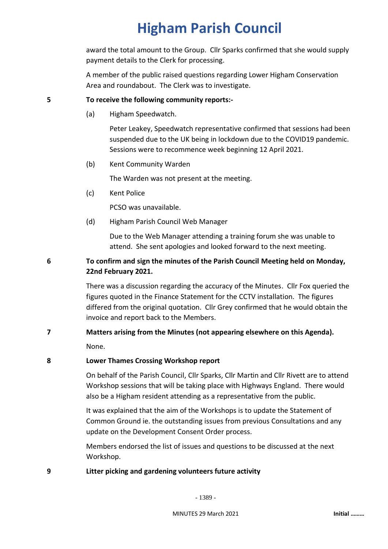award the total amount to the Group. Cllr Sparks confirmed that she would supply payment details to the Clerk for processing.

A member of the public raised questions regarding Lower Higham Conservation Area and roundabout. The Clerk was to investigate.

#### **5 To receive the following community reports:-**

(a) Higham Speedwatch.

Peter Leakey, Speedwatch representative confirmed that sessions had been suspended due to the UK being in lockdown due to the COVID19 pandemic. Sessions were to recommence week beginning 12 April 2021.

(b) Kent Community Warden

The Warden was not present at the meeting.

(c) Kent Police

PCSO was unavailable.

(d) Higham Parish Council Web Manager

Due to the Web Manager attending a training forum she was unable to attend. She sent apologies and looked forward to the next meeting.

#### **6 To confirm and sign the minutes of the Parish Council Meeting held on Monday, 22nd February 2021.**

There was a discussion regarding the accuracy of the Minutes. Cllr Fox queried the figures quoted in the Finance Statement for the CCTV installation. The figures differed from the original quotation. Cllr Grey confirmed that he would obtain the invoice and report back to the Members.

# **7 Matters arising from the Minutes (not appearing elsewhere on this Agenda).**

None.

#### **8 Lower Thames Crossing Workshop report**

On behalf of the Parish Council, Cllr Sparks, Cllr Martin and Cllr Rivett are to attend Workshop sessions that will be taking place with Highways England. There would also be a Higham resident attending as a representative from the public.

It was explained that the aim of the Workshops is to update the Statement of Common Ground ie. the outstanding issues from previous Consultations and any update on the Development Consent Order process.

Members endorsed the list of issues and questions to be discussed at the next Workshop.

#### **9 Litter picking and gardening volunteers future activity**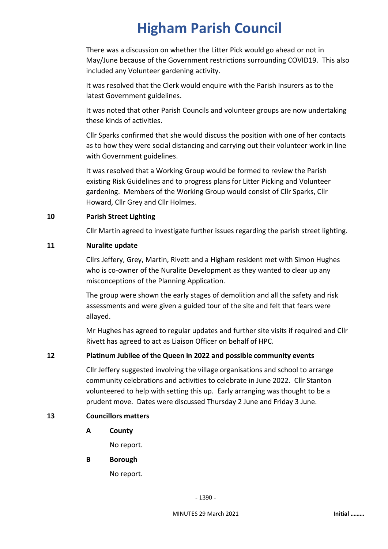There was a discussion on whether the Litter Pick would go ahead or not in May/June because of the Government restrictions surrounding COVID19. This also included any Volunteer gardening activity.

It was resolved that the Clerk would enquire with the Parish Insurers as to the latest Government guidelines.

It was noted that other Parish Councils and volunteer groups are now undertaking these kinds of activities.

Cllr Sparks confirmed that she would discuss the position with one of her contacts as to how they were social distancing and carrying out their volunteer work in line with Government guidelines.

It was resolved that a Working Group would be formed to review the Parish existing Risk Guidelines and to progress plans for Litter Picking and Volunteer gardening. Members of the Working Group would consist of Cllr Sparks, Cllr Howard, Cllr Grey and Cllr Holmes.

#### **10 Parish Street Lighting**

Cllr Martin agreed to investigate further issues regarding the parish street lighting.

#### **11 Nuralite update**

Cllrs Jeffery, Grey, Martin, Rivett and a Higham resident met with Simon Hughes who is co-owner of the Nuralite Development as they wanted to clear up any misconceptions of the Planning Application.

The group were shown the early stages of demolition and all the safety and risk assessments and were given a guided tour of the site and felt that fears were allayed.

Mr Hughes has agreed to regular updates and further site visits if required and Cllr Rivett has agreed to act as Liaison Officer on behalf of HPC.

#### **12 Platinum Jubilee of the Queen in 2022 and possible community events**

Cllr Jeffery suggested involving the village organisations and school to arrange community celebrations and activities to celebrate in June 2022. Cllr Stanton volunteered to help with setting this up. Early arranging was thought to be a prudent move. Dates were discussed Thursday 2 June and Friday 3 June.

#### **13 Councillors matters**

**A County**

No report.

**B Borough**

No report.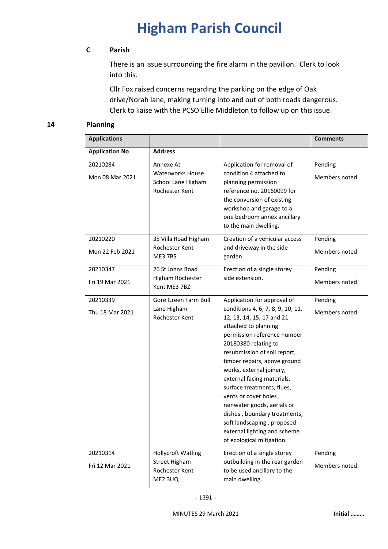#### **C Parish**

There is an issue surrounding the fire alarm in the pavilion. Clerk to look into this.

Cllr Fox raised concerns regarding the parking on the edge of Oak drive/Norah lane, making turning into and out of both roads dangerous. Clerk to liaise with the PCSO Ellie Middleton to follow up on this issue.

#### **14 Planning**

| <b>Applications</b>         |                                                                                       |                                                                                                                                                                                                                                                                                                                                                                                                                                                                                                                         | <b>Comments</b>           |
|-----------------------------|---------------------------------------------------------------------------------------|-------------------------------------------------------------------------------------------------------------------------------------------------------------------------------------------------------------------------------------------------------------------------------------------------------------------------------------------------------------------------------------------------------------------------------------------------------------------------------------------------------------------------|---------------------------|
| <b>Application No</b>       | <b>Address</b>                                                                        |                                                                                                                                                                                                                                                                                                                                                                                                                                                                                                                         |                           |
| 20210284<br>Mon 08 Mar 2021 | Annexe At<br><b>Waterworks House</b><br>School Lane Higham<br>Rochester Kent          | Application for removal of<br>condition 4 attached to<br>planning permission<br>reference no. 20160099 for<br>the conversion of existing<br>workshop and garage to a<br>one bedroom annex ancillary<br>to the main dwelling.                                                                                                                                                                                                                                                                                            | Pending<br>Members noted. |
| 20210220<br>Mon 22 Feb 2021 | 35 Villa Road Higham<br>Rochester Kent<br>ME37BS                                      | Creation of a vehicular access<br>and driveway in the side<br>garden.                                                                                                                                                                                                                                                                                                                                                                                                                                                   | Pending<br>Members noted. |
| 20210347<br>Fri 19 Mar 2021 | 26 St Johns Road<br>Higham Rochester<br>Kent ME3 7BZ                                  | Erection of a single storey<br>side extension.                                                                                                                                                                                                                                                                                                                                                                                                                                                                          | Pending<br>Members noted. |
| 20210339<br>Thu 18 Mar 2021 | Gore Green Farm Bull<br>Lane Higham<br>Rochester Kent                                 | Application for approval of<br>conditions 4, 6, 7, 8, 9, 10, 11,<br>12, 13, 14, 15, 17 and 21<br>attached to planning<br>permission reference number<br>20180380 relating to<br>resubmission of soil report,<br>timber repairs, above ground<br>works, external joinery,<br>external facing materials,<br>surface treatments, flues,<br>vents or cover holes,<br>rainwater goods, aerials or<br>dishes, boundary treatments,<br>soft landscaping, proposed<br>external lighting and scheme<br>of ecological mitigation. | Pending<br>Members noted. |
| 20210314<br>Fri 12 Mar 2021 | <b>Hollycroft Watling</b><br><b>Street Higham</b><br>Rochester Kent<br><b>ME2 3UQ</b> | Erection of a single storey<br>outbuilding in the rear garden<br>to be used ancillary to the<br>main dwelling.                                                                                                                                                                                                                                                                                                                                                                                                          | Pending<br>Members noted. |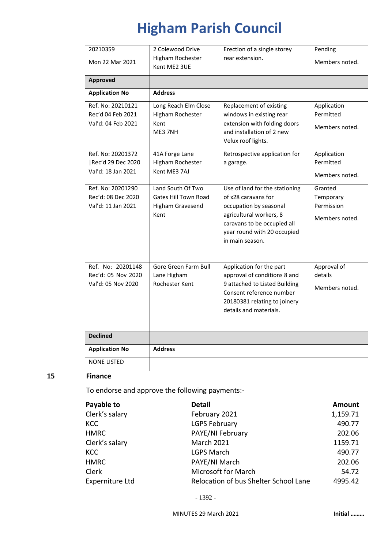| 20210359                                                      | 2 Colewood Drive                                                                    | Erection of a single storey                                                                                                                                                                 | Pending                                              |
|---------------------------------------------------------------|-------------------------------------------------------------------------------------|---------------------------------------------------------------------------------------------------------------------------------------------------------------------------------------------|------------------------------------------------------|
| Mon 22 Mar 2021                                               | Higham Rochester<br>Kent ME2 3UE                                                    | rear extension.                                                                                                                                                                             | Members noted.                                       |
| <b>Approved</b>                                               |                                                                                     |                                                                                                                                                                                             |                                                      |
| <b>Application No</b>                                         | <b>Address</b>                                                                      |                                                                                                                                                                                             |                                                      |
| Ref. No: 20210121<br>Rec'd 04 Feb 2021<br>Val'd: 04 Feb 2021  | Long Reach Elm Close<br>Higham Rochester<br>Kent<br>ME3 7NH                         | Replacement of existing<br>windows in existing rear<br>extension with folding doors<br>and installation of 2 new<br>Velux roof lights.                                                      | Application<br>Permitted<br>Members noted.           |
| Ref. No: 20201372<br>Rec'd 29 Dec 2020<br>Val'd: 18 Jan 2021  | 41A Forge Lane<br>Higham Rochester<br>Kent ME3 7AJ                                  | Retrospective application for<br>a garage.                                                                                                                                                  | Application<br>Permitted<br>Members noted.           |
| Ref. No: 20201290<br>Rec'd: 08 Dec 2020<br>Val'd: 11 Jan 2021 | Land South Of Two<br><b>Gates Hill Town Road</b><br><b>Higham Gravesend</b><br>Kent | Use of land for the stationing<br>of x28 caravans for<br>occupation by seasonal<br>agricultural workers, 8<br>caravans to be occupied all<br>year round with 20 occupied<br>in main season. | Granted<br>Temporary<br>Permission<br>Members noted. |
| Ref. No: 20201148<br>Rec'd: 05 Nov 2020<br>Val'd: 05 Nov 2020 | Gore Green Farm Bull<br>Lane Higham<br>Rochester Kent                               | Application for the part<br>approval of conditions 8 and<br>9 attached to Listed Building<br>Consent reference number<br>20180381 relating to joinery<br>details and materials.             | Approval of<br>details<br>Members noted.             |
| <b>Declined</b>                                               |                                                                                     |                                                                                                                                                                                             |                                                      |
| <b>Application No</b>                                         | <b>Address</b>                                                                      |                                                                                                                                                                                             |                                                      |
| <b>NONE LISTED</b>                                            |                                                                                     |                                                                                                                                                                                             |                                                      |

#### **15 Finance**

To endorse and approve the following payments:-

| Payable to      | <b>Detail</b>                         | <b>Amount</b> |
|-----------------|---------------------------------------|---------------|
| Clerk's salary  | February 2021                         | 1,159.71      |
| <b>KCC</b>      | <b>LGPS February</b>                  | 490.77        |
| <b>HMRC</b>     | PAYE/NI February                      | 202.06        |
| Clerk's salary  | <b>March 2021</b>                     | 1159.71       |
| <b>KCC</b>      | <b>LGPS March</b>                     | 490.77        |
| <b>HMRC</b>     | PAYE/NI March                         | 202.06        |
| <b>Clerk</b>    | Microsoft for March                   | 54.72         |
| Experniture Ltd | Relocation of bus Shelter School Lane | 4995.42       |

- 1392 -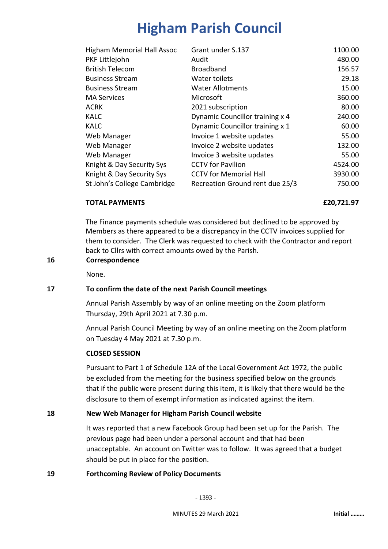| <b>Higham Memorial Hall Assoc</b> | Grant under S.137               | 1100.00 |
|-----------------------------------|---------------------------------|---------|
| PKF Littlejohn                    | Audit                           | 480.00  |
| <b>British Telecom</b>            | <b>Broadband</b>                | 156.57  |
| <b>Business Stream</b>            | Water toilets                   | 29.18   |
| <b>Business Stream</b>            | <b>Water Allotments</b>         | 15.00   |
| <b>MA Services</b>                | Microsoft                       | 360.00  |
| <b>ACRK</b>                       | 2021 subscription               | 80.00   |
| <b>KALC</b>                       | Dynamic Councillor training x 4 | 240.00  |
| <b>KALC</b>                       | Dynamic Councillor training x 1 | 60.00   |
| Web Manager                       | Invoice 1 website updates       | 55.00   |
| Web Manager                       | Invoice 2 website updates       | 132.00  |
| Web Manager                       | Invoice 3 website updates       | 55.00   |
| Knight & Day Security Sys         | <b>CCTV</b> for Pavilion        | 4524.00 |
| Knight & Day Security Sys         | <b>CCTV for Memorial Hall</b>   | 3930.00 |
| St John's College Cambridge       | Recreation Ground rent due 25/3 | 750.00  |
|                                   |                                 |         |

#### **TOTAL PAYMENTS £20,721.97**

The Finance payments schedule was considered but declined to be approved by Members as there appeared to be a discrepancy in the CCTV invoices supplied for them to consider. The Clerk was requested to check with the Contractor and report back to Cllrs with correct amounts owed by the Parish.

#### **16 Correspondence**

None.

#### **17 To confirm the date of the next Parish Council meetings**

Annual Parish Assembly by way of an online meeting on the Zoom platform Thursday, 29th April 2021 at 7.30 p.m.

Annual Parish Council Meeting by way of an online meeting on the Zoom platform on Tuesday 4 May 2021 at 7.30 p.m.

#### **CLOSED SESSION**

Pursuant to Part 1 of Schedule 12A of the Local Government Act 1972, the public be excluded from the meeting for the business specified below on the grounds that if the public were present during this item, it is likely that there would be the disclosure to them of exempt information as indicated against the item.

#### **18 New Web Manager for Higham Parish Council website**

It was reported that a new Facebook Group had been set up for the Parish. The previous page had been under a personal account and that had been unacceptable. An account on Twitter was to follow. It was agreed that a budget should be put in place for the position.

#### **19 Forthcoming Review of Policy Documents**